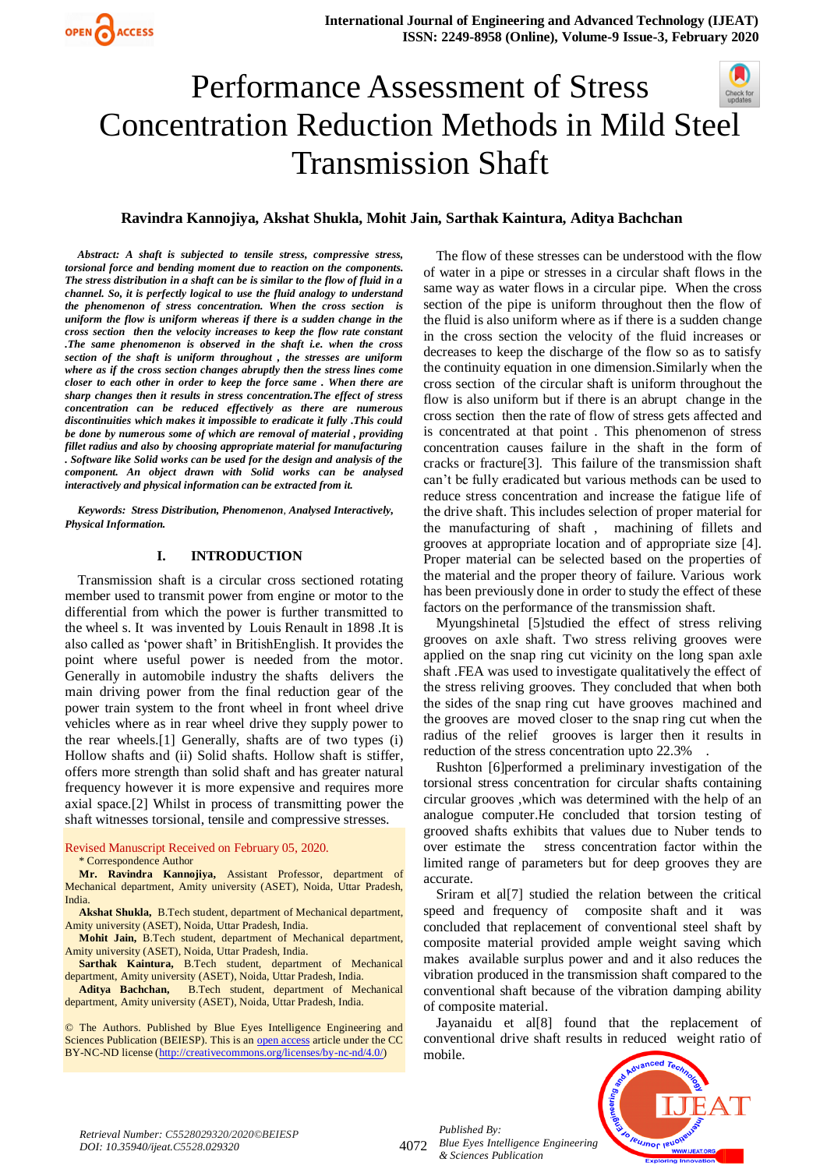## Performance Assessment of Stress Concentration Reduction Methods in Mild Steel Transmission Shaft

## **Ravindra Kannojiya, Akshat Shukla, Mohit Jain, Sarthak Kaintura, Aditya Bachchan**

*Abstract: A shaft is subjected to tensile stress, compressive stress, torsional force and bending moment due to reaction on the components. The stress distribution in a shaft can be is similar to the flow of fluid in a channel. So, it is perfectly logical to use the fluid analogy to understand the phenomenon of stress concentration. When the cross section is uniform the flow is uniform whereas if there is a sudden change in the cross section then the velocity increases to keep the flow rate constant .The same phenomenon is observed in the shaft i.e. when the cross section of the shaft is uniform throughout , the stresses are uniform where as if the cross section changes abruptly then the stress lines come closer to each other in order to keep the force same . When there are sharp changes then it results in stress concentration.The effect of stress concentration can be reduced effectively as there are numerous discontinuities which makes it impossible to eradicate it fully .This could be done by numerous some of which are removal of material , providing fillet radius and also by choosing appropriate material for manufacturing . Software like Solid works can be used for the design and analysis of the component. An object drawn with Solid works can be analysed interactively and physical information can be extracted from it.*

*Keywords: Stress Distribution, Phenomenon*, *Analysed Interactively, Physical Information.* 

## **I. INTRODUCTION**

Transmission shaft is a circular cross sectioned rotating member used to transmit power from engine or motor to the differential from which the power is further transmitted to the wheel s. It was invented by Louis Renault in 1898 .It is also called as 'power shaft' in BritishEnglish. It provides the point where useful power is needed from the motor. Generally in automobile industry the shafts delivers the main driving power from the final reduction gear of the power train system to the front wheel in front wheel drive vehicles where as in rear wheel drive they supply power to the rear wheels.[1] Generally, shafts are of two types (i) Hollow shafts and (ii) Solid shafts. Hollow shaft is stiffer, offers more strength than solid shaft and has greater natural frequency however it is more expensive and requires more axial space.[2] Whilst in process of transmitting power the shaft witnesses torsional, tensile and compressive stresses.

Revised Manuscript Received on February 05, 2020.

\* Correspondence Author

**Mr. Ravindra Kannojiya,** Assistant Professor, department of Mechanical department, Amity university (ASET), Noida, Uttar Pradesh, India.

**Akshat Shukla,** B.Tech student, department of Mechanical department, Amity university (ASET), Noida, Uttar Pradesh, India.

**Mohit Jain,** B.Tech student, department of Mechanical department, Amity university (ASET), Noida, Uttar Pradesh, India.

**Sarthak Kaintura,** B.Tech student, department of Mechanical department, Amity university (ASET), Noida, Uttar Pradesh, India.

**Aditya Bachchan,** B.Tech student, department of Mechanical department, Amity university (ASET), Noida, Uttar Pradesh, India.

© The Authors. Published by Blue Eyes Intelligence Engineering and Sciences Publication (BEIESP). This is an [open access](https://www.openaccess.nl/en/open-publications) article under the CC BY-NC-ND license [\(http://creativecommons.org/licenses/by-nc-nd/4.0/\)](http://creativecommons.org/licenses/by-nc-nd/4.0/)

The flow of these stresses can be understood with the flow of water in a pipe or stresses in a circular shaft flows in the same way as water flows in a circular pipe. When the cross section of the pipe is uniform throughout then the flow of the fluid is also uniform where as if there is a sudden change in the cross section the velocity of the fluid increases or decreases to keep the discharge of the flow so as to satisfy the continuity equation in one dimension.Similarly when the cross section of the circular shaft is uniform throughout the flow is also uniform but if there is an abrupt change in the cross section then the rate of flow of stress gets affected and is concentrated at that point . This phenomenon of stress concentration causes failure in the shaft in the form of cracks or fracture[3]. This failure of the transmission shaft can't be fully eradicated but various methods can be used to reduce stress concentration and increase the fatigue life of the drive shaft. This includes selection of proper material for the manufacturing of shaft , machining of fillets and grooves at appropriate location and of appropriate size [4]. Proper material can be selected based on the properties of the material and the proper theory of failure. Various work has been previously done in order to study the effect of these factors on the performance of the transmission shaft.

Myungshinetal [5]studied the effect of stress reliving grooves on axle shaft. Two stress reliving grooves were applied on the snap ring cut vicinity on the long span axle shaft .FEA was used to investigate qualitatively the effect of the stress reliving grooves. They concluded that when both the sides of the snap ring cut have grooves machined and the grooves are moved closer to the snap ring cut when the radius of the relief grooves is larger then it results in reduction of the stress concentration upto 22.3% .

Rushton [6]performed a preliminary investigation of the torsional stress concentration for circular shafts containing circular grooves ,which was determined with the help of an analogue computer.He concluded that torsion testing of grooved shafts exhibits that values due to Nuber tends to over estimate the stress concentration factor within the limited range of parameters but for deep grooves they are accurate.

Sriram et al[7] studied the relation between the critical speed and frequency of composite shaft and it was concluded that replacement of conventional steel shaft by composite material provided ample weight saving which makes available surplus power and and it also reduces the vibration produced in the transmission shaft compared to the conventional shaft because of the vibration damping ability of composite material.

Jayanaidu et al[8] found that the replacement of conventional drive shaft results in reduced weight ratio of mobile.



4072 *Blue Eyes Intelligence Engineering Published By: & Sciences Publication*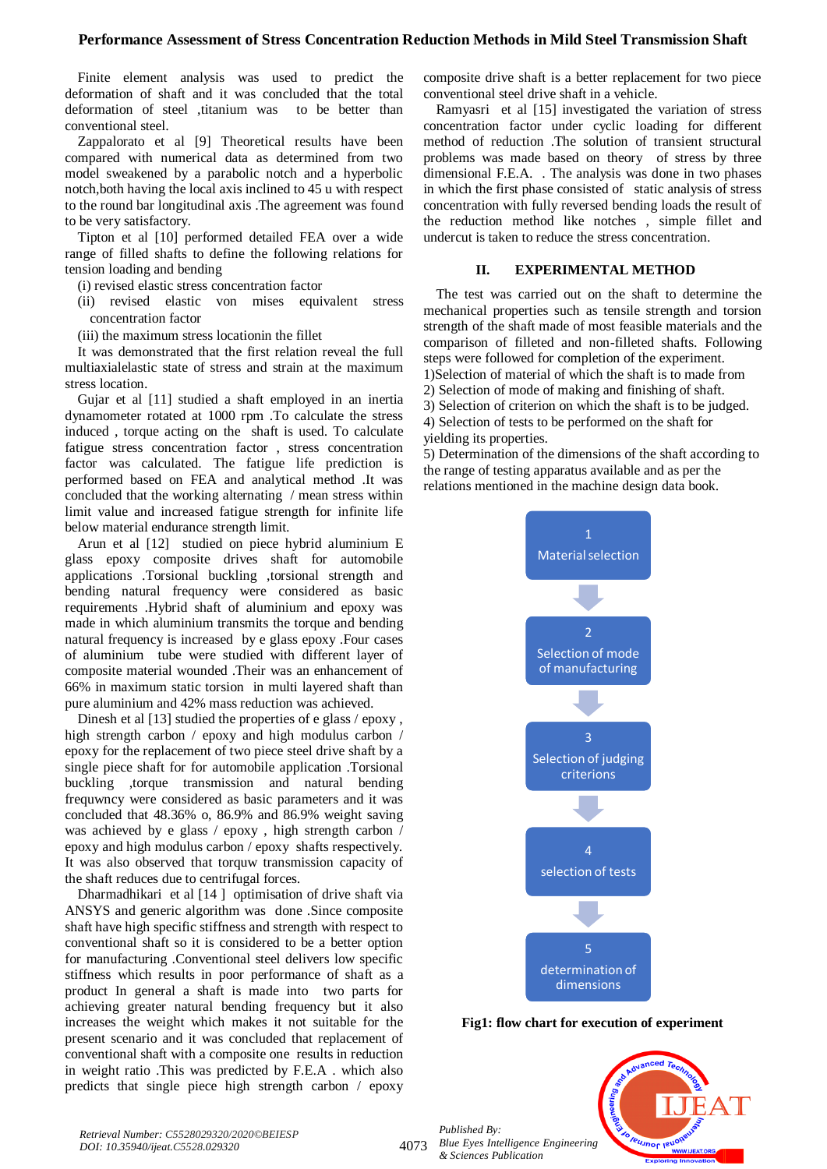## **Performance Assessment of Stress Concentration Reduction Methods in Mild Steel Transmission Shaft**

Finite element analysis was used to predict the deformation of shaft and it was concluded that the total deformation of steel ,titanium was to be better than conventional steel.

Zappalorato et al [9] Theoretical results have been compared with numerical data as determined from two model sweakened by a parabolic notch and a hyperbolic notch,both having the local axis inclined to 45 u with respect to the round bar longitudinal axis .The agreement was found to be very satisfactory.

Tipton et al [10] performed detailed FEA over a wide range of filled shafts to define the following relations for tension loading and bending

- (i) revised elastic stress concentration factor
- (ii) revised elastic von mises equivalent stress concentration factor
- (iii) the maximum stress locationin the fillet

It was demonstrated that the first relation reveal the full multiaxialelastic state of stress and strain at the maximum stress location.

Gujar et al [11] studied a shaft employed in an inertia dynamometer rotated at 1000 rpm .To calculate the stress induced , torque acting on the shaft is used. To calculate fatigue stress concentration factor , stress concentration factor was calculated. The fatigue life prediction is performed based on FEA and analytical method .It was concluded that the working alternating / mean stress within limit value and increased fatigue strength for infinite life below material endurance strength limit.

Arun et al [12] studied on piece hybrid aluminium E glass epoxy composite drives shaft for automobile applications .Torsional buckling ,torsional strength and bending natural frequency were considered as basic requirements .Hybrid shaft of aluminium and epoxy was made in which aluminium transmits the torque and bending natural frequency is increased by e glass epoxy .Four cases of aluminium tube were studied with different layer of composite material wounded .Their was an enhancement of 66% in maximum static torsion in multi layered shaft than pure aluminium and 42% mass reduction was achieved.

Dinesh et al [13] studied the properties of e glass / epoxy, high strength carbon / epoxy and high modulus carbon / epoxy for the replacement of two piece steel drive shaft by a single piece shaft for for automobile application .Torsional buckling ,torque transmission and natural bending frequwncy were considered as basic parameters and it was concluded that 48.36% o, 86.9% and 86.9% weight saving was achieved by e glass / epoxy , high strength carbon / epoxy and high modulus carbon / epoxy shafts respectively. It was also observed that torquw transmission capacity of the shaft reduces due to centrifugal forces.

Dharmadhikari et al [14 ] optimisation of drive shaft via ANSYS and generic algorithm was done .Since composite shaft have high specific stiffness and strength with respect to conventional shaft so it is considered to be a better option for manufacturing .Conventional steel delivers low specific stiffness which results in poor performance of shaft as a product In general a shaft is made into two parts for achieving greater natural bending frequency but it also increases the weight which makes it not suitable for the present scenario and it was concluded that replacement of conventional shaft with a composite one results in reduction in weight ratio .This was predicted by F.E.A . which also predicts that single piece high strength carbon / epoxy

composite drive shaft is a better replacement for two piece conventional steel drive shaft in a vehicle.

Ramyasri et al [15] investigated the variation of stress concentration factor under cyclic loading for different method of reduction .The solution of transient structural problems was made based on theory of stress by three dimensional F.E.A. . The analysis was done in two phases in which the first phase consisted of static analysis of stress concentration with fully reversed bending loads the result of the reduction method like notches , simple fillet and undercut is taken to reduce the stress concentration.

## **II. EXPERIMENTAL METHOD**

The test was carried out on the shaft to determine the mechanical properties such as tensile strength and torsion strength of the shaft made of most feasible materials and the comparison of filleted and non-filleted shafts. Following steps were followed for completion of the experiment. 1)Selection of material of which the shaft is to made from 2) Selection of mode of making and finishing of shaft. 3) Selection of criterion on which the shaft is to be judged.

4) Selection of tests to be performed on the shaft for yielding its properties.

5) Determination of the dimensions of the shaft according to the range of testing apparatus available and as per the relations mentioned in the machine design data book.



**Fig1: flow chart for execution of experiment**

**PUJNOF IEUO** 

*Published By: Blue Eyes Intelligence Engineering & Sciences Publication* 

4073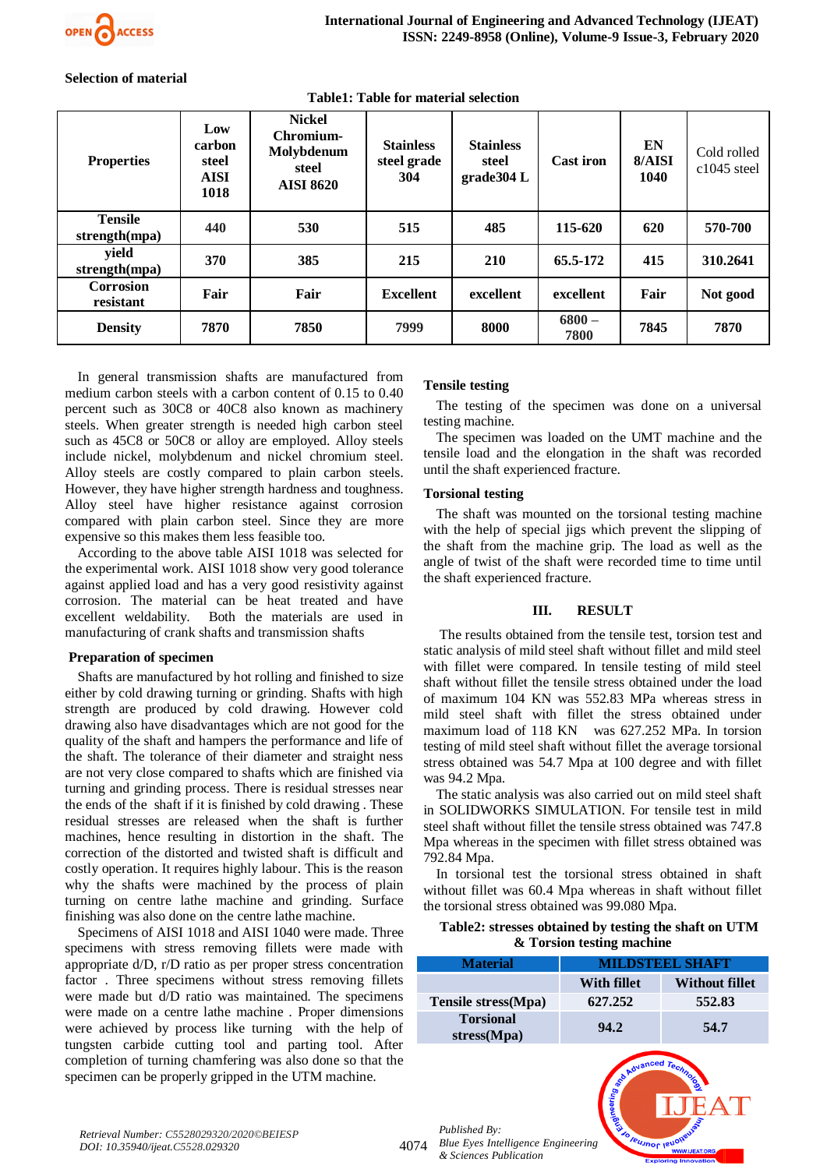

#### **Selection of material**

| <b>Properties</b>               | Low<br>carbon<br>steel<br><b>AISI</b><br>1018 | <b>Nickel</b><br>Chromium-<br>Molybdenum<br>steel<br><b>AISI 8620</b> | <b>Stainless</b><br>steel grade<br>304 | <b>Stainless</b><br>steel<br>grade304 L | <b>Cast iron</b> | EN<br>8/A <sub>ISI</sub><br>1040 | Cold rolled<br>$c1045$ steel |
|---------------------------------|-----------------------------------------------|-----------------------------------------------------------------------|----------------------------------------|-----------------------------------------|------------------|----------------------------------|------------------------------|
| <b>Tensile</b><br>strength(mpa) | 440                                           | 530                                                                   | 515                                    | 485                                     | 115-620          | 620                              | 570-700                      |
| yield<br>strength(mpa)          | 370                                           | 385                                                                   | 215                                    | <b>210</b>                              | 65.5-172         | 415                              | 310.2641                     |
| <b>Corrosion</b><br>resistant   | Fair                                          | Fair                                                                  | <b>Excellent</b>                       | excellent                               | excellent        | Fair                             | Not good                     |
| <b>Density</b>                  | 7870                                          | 7850                                                                  | 7999                                   | 8000                                    | $6800 -$<br>7800 | 7845                             | 7870                         |

**Table1: Table for material selection**

In general transmission shafts are manufactured from medium carbon steels with a carbon content of 0.15 to 0.40 percent such as 30C8 or 40C8 also known as machinery steels. When greater strength is needed high carbon steel such as 45C8 or 50C8 or alloy are employed. Alloy steels include nickel, molybdenum and nickel chromium steel. Alloy steels are costly compared to plain carbon steels. However, they have higher strength hardness and toughness. Alloy steel have higher resistance against corrosion compared with plain carbon steel. Since they are more expensive so this makes them less feasible too.

According to the above table AISI 1018 was selected for the experimental work. AISI 1018 show very good tolerance against applied load and has a very good resistivity against corrosion. The material can be heat treated and have excellent weldability. Both the materials are used in manufacturing of crank shafts and transmission shafts

## **Preparation of specimen**

Shafts are manufactured by hot rolling and finished to size either by cold drawing turning or grinding. Shafts with high strength are produced by cold drawing. However cold drawing also have disadvantages which are not good for the quality of the shaft and hampers the performance and life of the shaft. The tolerance of their diameter and straight ness are not very close compared to shafts which are finished via turning and grinding process. There is residual stresses near the ends of the shaft if it is finished by cold drawing . These residual stresses are released when the shaft is further machines, hence resulting in distortion in the shaft. The correction of the distorted and twisted shaft is difficult and costly operation. It requires highly labour. This is the reason why the shafts were machined by the process of plain turning on centre lathe machine and grinding. Surface finishing was also done on the centre lathe machine.

Specimens of AISI 1018 and AISI 1040 were made. Three specimens with stress removing fillets were made with appropriate d/D, r/D ratio as per proper stress concentration factor . Three specimens without stress removing fillets were made but d/D ratio was maintained. The specimens were made on a centre lathe machine . Proper dimensions were achieved by process like turning with the help of tungsten carbide cutting tool and parting tool. After completion of turning chamfering was also done so that the specimen can be properly gripped in the UTM machine.

## **Tensile testing**

The testing of the specimen was done on a universal testing machine.

The specimen was loaded on the UMT machine and the tensile load and the elongation in the shaft was recorded until the shaft experienced fracture.

#### **Torsional testing**

The shaft was mounted on the torsional testing machine with the help of special jigs which prevent the slipping of the shaft from the machine grip. The load as well as the angle of twist of the shaft were recorded time to time until the shaft experienced fracture.

#### **III. RESULT**

The results obtained from the tensile test, torsion test and static analysis of mild steel shaft without fillet and mild steel with fillet were compared. In tensile testing of mild steel shaft without fillet the tensile stress obtained under the load of maximum 104 KN was 552.83 MPa whereas stress in mild steel shaft with fillet the stress obtained under maximum load of 118 KN was 627.252 MPa. In torsion testing of mild steel shaft without fillet the average torsional stress obtained was 54.7 Mpa at 100 degree and with fillet was 94.2 Mpa.

The static analysis was also carried out on mild steel shaft in SOLIDWORKS SIMULATION. For tensile test in mild steel shaft without fillet the tensile stress obtained was 747.8 Mpa whereas in the specimen with fillet stress obtained was 792.84 Mpa.

In torsional test the torsional stress obtained in shaft without fillet was 60.4 Mpa whereas in shaft without fillet the torsional stress obtained was 99.080 Mpa.

#### **Table2: stresses obtained by testing the shaft on UTM & Torsion testing machine**

| <b>Material</b>                  | <b>MILDSTEEL SHAFT</b> |                       |  |  |
|----------------------------------|------------------------|-----------------------|--|--|
|                                  | With fillet            | <b>Without fillet</b> |  |  |
| Tensile stress(Mpa)              | 627.252                | 552.83                |  |  |
| <b>Torsional</b><br>stress (Mpa) | 94.2                   | 54.7                  |  |  |

Unor leu

*Published By:*

4074 *Blue Eyes Intelligence Engineering & Sciences Publication*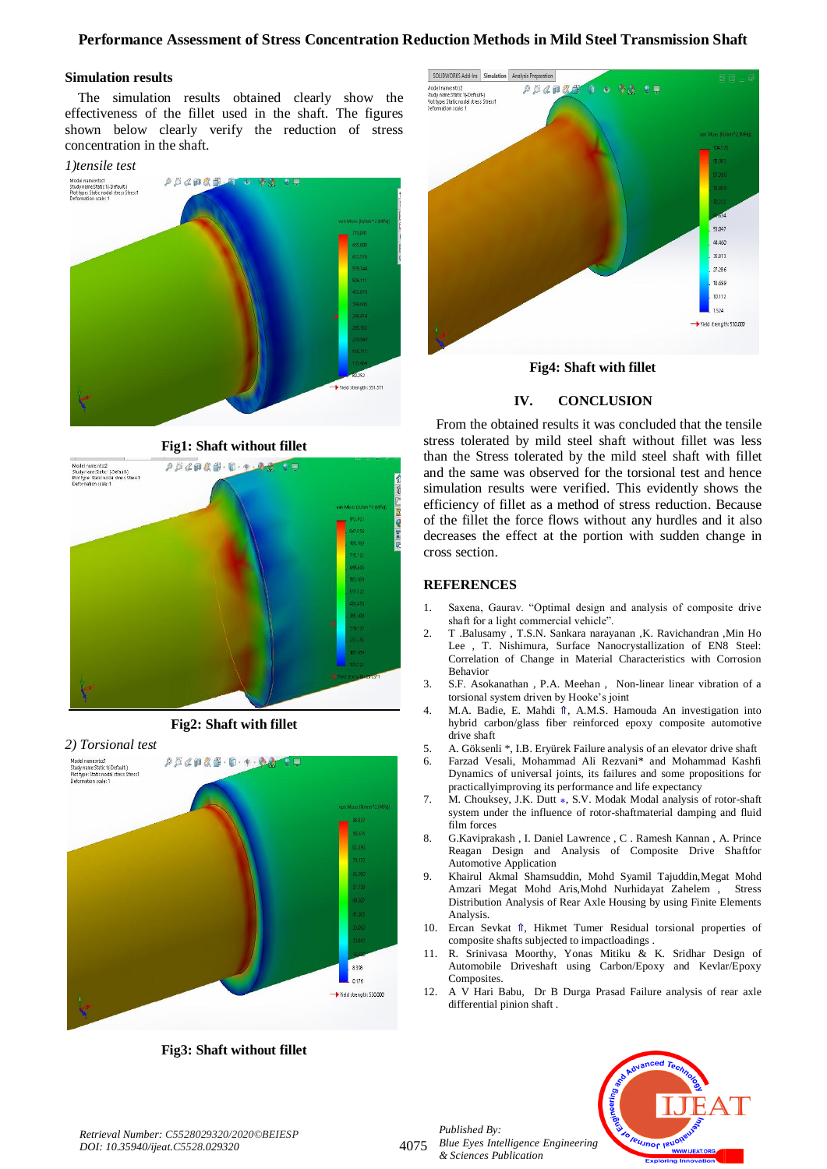## **Performance Assessment of Stress Concentration Reduction Methods in Mild Steel Transmission Shaft**

#### **Simulation results**

The simulation results obtained clearly show the effectiveness of the fillet used in the shaft. The figures shown below clearly verify the reduction of stress concentration in the shaft.



**Fig1: Shaft without fillet**



**Fig2: Shaft with fillet**

# *2) Torsional test* Model name:ntcc1<br>Study name:Static 1(-Default-)<br>Plot type: Static nodal stress Stress1<br>Deformation scale: 1  $\rho \beta \not\in \rho \otimes \beta \cdot \mathbf{D} \cdot \mathbf{p} \cdot \mathbf{Q} \cdot \mathbf{Q}$  $\bullet$   $\blacksquare$ 8.398 0.176 Vield strength: 530.000

**Fig3: Shaft without fillet**





#### **IV. CONCLUSION**

From the obtained results it was concluded that the tensile stress tolerated by mild steel shaft without fillet was less than the Stress tolerated by the mild steel shaft with fillet and the same was observed for the torsional test and hence simulation results were verified. This evidently shows the efficiency of fillet as a method of stress reduction. Because of the fillet the force flows without any hurdles and it also decreases the effect at the portion with sudden change in cross section.

### **REFERENCES**

- 1. Saxena, Gaurav. "Optimal design and analysis of composite drive shaft for a light commercial vehicle".
- 2. T .Balusamy , T.S.N. Sankara narayanan ,K. Ravichandran ,Min Ho Lee , T. Nishimura, Surface Nanocrystallization of EN8 Steel: Correlation of Change in Material Characteristics with Corrosion Behavior
- 3. S.F. Asokanathan , P.A. Meehan , Non-linear linear vibration of a torsional system driven by Hooke's joint
- 4. M.A. Badie, E. Mahdi Î, A.M.S. Hamouda An investigation into hybrid carbon/glass fiber reinforced epoxy composite automotive drive shaft
- 5. A. Göksenli \*, I.B. Eryürek Failure analysis of an elevator drive shaft
- 6. Farzad Vesali, Mohammad Ali Rezvani\* and Mohammad Kashfi Dynamics of universal joints, its failures and some propositions for practicallyimproving its performance and life expectancy
- 7. M. Chouksey, J.K. Dutt  $\ast$ , S.V. Modak Modal analysis of rotor-shaft system under the influence of rotor-shaftmaterial damping and fluid film forces
- 8. G.Kaviprakash , I. Daniel Lawrence , C . Ramesh Kannan , A. Prince Reagan Design and Analysis of Composite Drive Shaftfor Automotive Application
- 9. Khairul Akmal Shamsuddin, Mohd Syamil Tajuddin,Megat Mohd Amzari Megat Mohd Aris,Mohd Nurhidayat Zahelem , Stress Distribution Analysis of Rear Axle Housing by using Finite Elements Analysis.
- 10. Ercan Sevkat ⇑, Hikmet Tumer Residual torsional properties of composite shafts subjected to impactloadings .
- 11. R. Srinivasa Moorthy, Yonas Mitiku & K. Sridhar Design of Automobile Driveshaft using Carbon/Epoxy and Kevlar/Epoxy Composites.
- 12. A V Hari Babu, Dr B Durga Prasad Failure analysis of rear axle differential pinion shaft .



*Published By: Blue Eyes Intelligence Engineering & Sciences Publication* 



4075